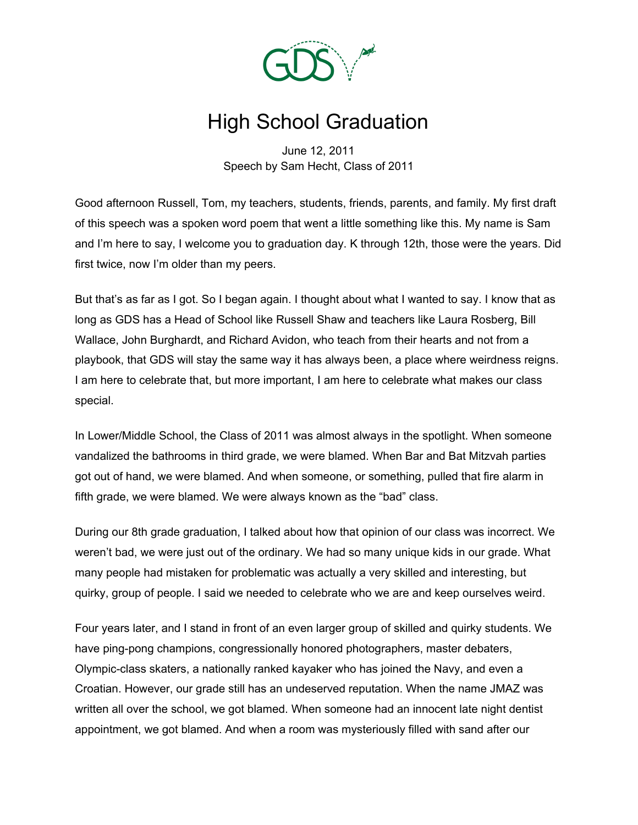

## High School Graduation

June 12, 2011 Speech by Sam Hecht, Class of 2011

Good afternoon Russell, Tom, my teachers, students, friends, parents, and family. My first draft of this speech was a spoken word poem that went a little something like this. My name is Sam and I'm here to say, I welcome you to graduation day. K through 12th, those were the years. Did first twice, now I'm older than my peers.

But that's as far as I got. So I began again. I thought about what I wanted to say. I know that as long as GDS has a Head of School like Russell Shaw and teachers like Laura Rosberg, Bill Wallace, John Burghardt, and Richard Avidon, who teach from their hearts and not from a playbook, that GDS will stay the same way it has always been, a place where weirdness reigns. I am here to celebrate that, but more important, I am here to celebrate what makes our class special.

In Lower/Middle School, the Class of 2011 was almost always in the spotlight. When someone vandalized the bathrooms in third grade, we were blamed. When Bar and Bat Mitzvah parties got out of hand, we were blamed. And when someone, or something, pulled that fire alarm in fifth grade, we were blamed. We were always known as the "bad" class.

During our 8th grade graduation, I talked about how that opinion of our class was incorrect. We weren't bad, we were just out of the ordinary. We had so many unique kids in our grade. What many people had mistaken for problematic was actually a very skilled and interesting, but quirky, group of people. I said we needed to celebrate who we are and keep ourselves weird.

Four years later, and I stand in front of an even larger group of skilled and quirky students. We have ping-pong champions, congressionally honored photographers, master debaters, Olympic-class skaters, a nationally ranked kayaker who has joined the Navy, and even a Croatian. However, our grade still has an undeserved reputation. When the name JMAZ was written all over the school, we got blamed. When someone had an innocent late night dentist appointment, we got blamed. And when a room was mysteriously filled with sand after our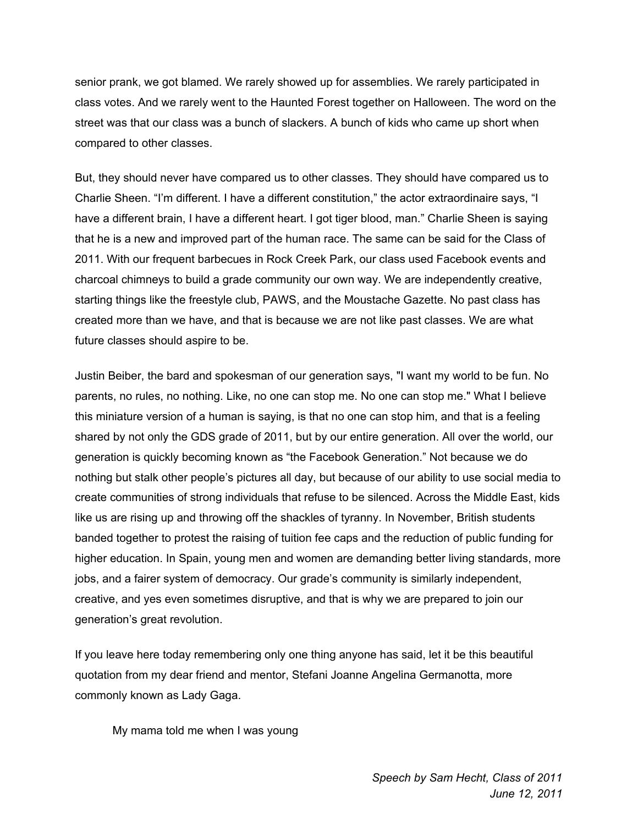senior prank, we got blamed. We rarely showed up for assemblies. We rarely participated in class votes. And we rarely went to the Haunted Forest together on Halloween. The word on the street was that our class was a bunch of slackers. A bunch of kids who came up short when compared to other classes.

But, they should never have compared us to other classes. They should have compared us to Charlie Sheen. "I'm different. I have a different constitution," the actor extraordinaire says, "I have a different brain, I have a different heart. I got tiger blood, man." Charlie Sheen is saying that he is a new and improved part of the human race. The same can be said for the Class of 2011. With our frequent barbecues in Rock Creek Park, our class used Facebook events and charcoal chimneys to build a grade community our own way. We are independently creative, starting things like the freestyle club, PAWS, and the Moustache Gazette. No past class has created more than we have, and that is because we are not like past classes. We are what future classes should aspire to be.

Justin Beiber, the bard and spokesman of our generation says, "I want my world to be fun. No parents, no rules, no nothing. Like, no one can stop me. No one can stop me." What I believe this miniature version of a human is saying, is that no one can stop him, and that is a feeling shared by not only the GDS grade of 2011, but by our entire generation. All over the world, our generation is quickly becoming known as "the Facebook Generation." Not because we do nothing but stalk other people's pictures all day, but because of our ability to use social media to create communities of strong individuals that refuse to be silenced. Across the Middle East, kids like us are rising up and throwing off the shackles of tyranny. In November, British students banded together to protest the raising of tuition fee caps and the reduction of public funding for higher education. In Spain, young men and women are demanding better living standards, more jobs, and a fairer system of democracy. Our grade's community is similarly independent, creative, and yes even sometimes disruptive, and that is why we are prepared to join our generation's great revolution.

If you leave here today remembering only one thing anyone has said, let it be this beautiful quotation from my dear friend and mentor, Stefani Joanne Angelina Germanotta, more commonly known as Lady Gaga.

My mama told me when I was young